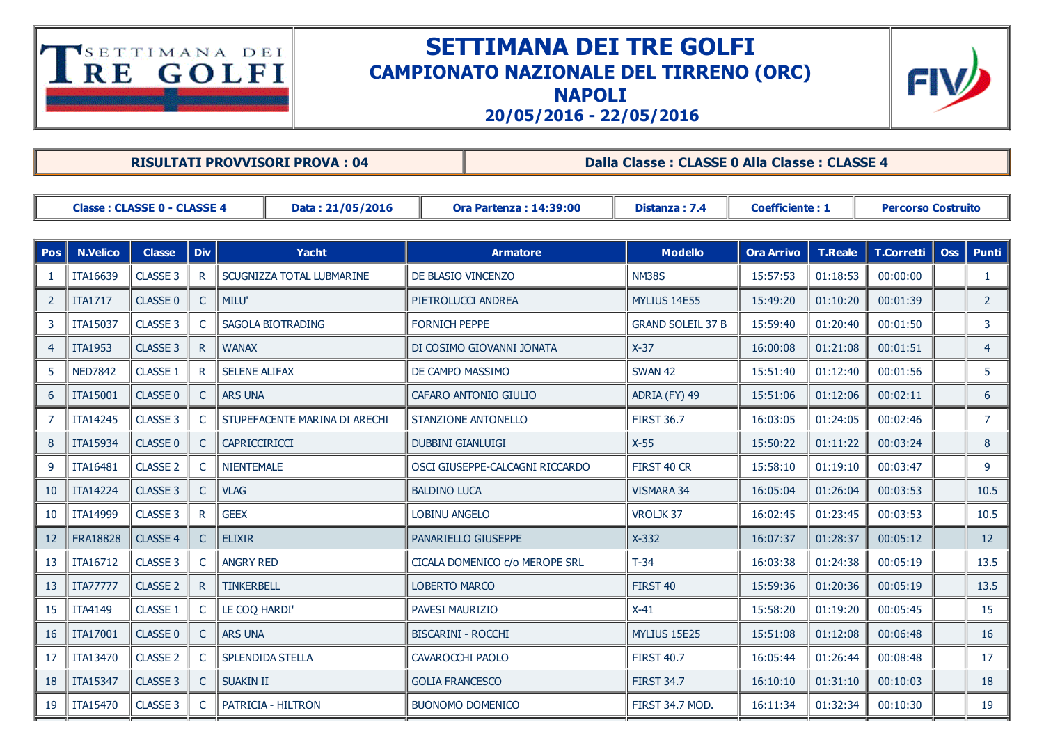## **TERE GOLFI**

## SETTIMANA DEI TRE GOLFI CAMPIONATO NAZIONALE DEL TIRRENO (ORC) NAPOLI



20/05/2016 22/05/2016

|                                                        |                 |                 |               | <b>RISULTATI PROVVISORI PROVA: 04</b> |                                 | Dalla Classe : CLASSE 0 Alla Classe : CLASSE 4 |                          |                        |                |                           |            |                |  |
|--------------------------------------------------------|-----------------|-----------------|---------------|---------------------------------------|---------------------------------|------------------------------------------------|--------------------------|------------------------|----------------|---------------------------|------------|----------------|--|
|                                                        |                 |                 |               |                                       |                                 |                                                |                          |                        |                |                           |            |                |  |
| <b>Classe: CLASSE 0 - CLASSE 4</b><br>Data: 21/05/2016 |                 |                 |               |                                       | <b>Ora Partenza: 14:39:00</b>   |                                                | Distanza: 7.4            | <b>Coefficiente: 1</b> |                | <b>Percorso Costruito</b> |            |                |  |
|                                                        |                 |                 |               |                                       |                                 |                                                |                          |                        |                |                           |            |                |  |
| <b>Pos</b>                                             | <b>N.Velico</b> | <b>Classe</b>   | <b>Div</b>    | <b>Yacht</b>                          | <b>Armatore</b>                 |                                                | <b>Modello</b>           | <b>Ora Arrivo</b>      | <b>T.Reale</b> | <b>T.Corretti</b>         | <b>Oss</b> | <b>Punti</b>   |  |
| 1                                                      | ITA16639        | CLASSE 3        | $\mathsf{R}$  | SCUGNIZZA TOTAL LUBMARINE             | DE BLASIO VINCENZO              |                                                | <b>NM38S</b>             | 15:57:53               | 01:18:53       | 00:00:00                  |            | $\mathbf{1}$   |  |
| $\overline{2}$                                         | <b>ITA1717</b>  | CLASSE 0        | C             | MILU'                                 | PIETROLUCCI ANDREA              |                                                | <b>MYLIUS 14E55</b>      | 15:49:20               | 01:10:20       | 00:01:39                  |            | $\overline{2}$ |  |
| 3                                                      | ITA15037        | CLASSE 3        |               | SAGOLA BIOTRADING                     | <b>FORNICH PEPPE</b>            |                                                | <b>GRAND SOLEIL 37 B</b> | 15:59:40               | 01:20:40       | 00:01:50                  |            | 3              |  |
| 4                                                      | <b>ITA1953</b>  | CLASSE 3        | $\mathsf{R}$  | <b>WANAX</b>                          | DI COSIMO GIOVANNI JONATA       |                                                | $X-37$                   | 16:00:08               | 01:21:08       | 00:01:51                  |            | $\overline{4}$ |  |
| 5                                                      | <b>NED7842</b>  | CLASSE 1        |               | <b>SELENE ALIFAX</b>                  | DE CAMPO MASSIMO                |                                                | <b>SWAN 42</b>           | 15:51:40               | 01:12:40       | 00:01:56                  |            | 5              |  |
| 6                                                      | ITA15001        | <b>CLASSE 0</b> |               | <b>ARS UNA</b>                        | CAFARO ANTONIO GIULIO           |                                                | ADRIA (FY) 49            | 15:51:06               | 01:12:06       | 00:02:11                  |            | 6              |  |
| $\overline{7}$                                         | ITA14245        | CLASSE 3        |               | STUPEFACENTE MARINA DI ARECHI         | <b>STANZIONE ANTONELLO</b>      |                                                | <b>FIRST 36.7</b>        | 16:03:05               | 01:24:05       | 00:02:46                  |            | $\overline{7}$ |  |
| 8                                                      | ITA15934        | <b>CLASSE 0</b> | C             | CAPRICCIRICCI                         | <b>DUBBINI GIANLUIGI</b>        |                                                | $X-55$                   | 15:50:22               | 01:11:22       | 00:03:24                  |            | 8              |  |
| 9                                                      | ITA16481        | <b>CLASSE 2</b> | C             | <b>NIENTEMALE</b>                     | OSCI GIUSEPPE-CALCAGNI RICCARDO |                                                | FIRST 40 CR              | 15:58:10               | 01:19:10       | 00:03:47                  |            | 9              |  |
| 10                                                     | <b>ITA14224</b> | CLASSE 3        | C.            | <b>VLAG</b>                           | <b>BALDINO LUCA</b>             |                                                | <b>VISMARA 34</b>        | 16:05:04               | 01:26:04       | 00:03:53                  |            | 10.5           |  |
| 10                                                     | ITA14999        | CLASSE 3        | R             | <b>GEEX</b>                           | <b>LOBINU ANGELO</b>            |                                                | VROLJK37                 | 16:02:45               | 01:23:45       | 00:03:53                  |            | 10.5           |  |
| 12                                                     | <b>FRA18828</b> | CLASSE 4        | $\mathsf{C}$  | <b>ELIXIR</b>                         |                                 | PANARIELLO GIUSEPPE                            | $X-332$                  | 16:07:37               | 01:28:37       | 00:05:12                  |            | 12             |  |
| 13                                                     | ITA16712        | CLASSE 3        |               | <b>ANGRY RED</b>                      |                                 | CICALA DOMENICO c/o MEROPE SRL                 | $T-34$                   | 16:03:38               | 01:24:38       | 00:05:19                  |            | 13.5           |  |
| 13                                                     | <b>ITA77777</b> | <b>CLASSE 2</b> | $\mathsf{R}$  | <b>TINKERBELL</b>                     | <b>LOBERTO MARCO</b>            |                                                | FIRST <sub>40</sub>      | 15:59:36               | 01:20:36       | 00:05:19                  |            | 13.5           |  |
| 15                                                     | <b>ITA4149</b>  | CLASSE 1        | $\mathcal{C}$ | LE COQ HARDI'                         | <b>PAVESI MAURIZIO</b>          |                                                | $X-41$                   | 15:58:20               | 01:19:20       | 00:05:45                  |            | 15             |  |
| 16                                                     | ITA17001        | <b>CLASSE 0</b> | C.            | <b>ARS UNA</b>                        | <b>BISCARINI - ROCCHI</b>       |                                                | <b>MYLIUS 15E25</b>      | 15:51:08               | 01:12:08       | 00:06:48                  |            | 16             |  |
| 17                                                     | ITA13470        | <b>CLASSE 2</b> |               | SPLENDIDA STELLA                      | <b>CAVAROCCHI PAOLO</b>         |                                                | <b>FIRST 40.7</b>        | 16:05:44               | 01:26:44       | 00:08:48                  |            | 17             |  |
| 18                                                     | ITA15347        | CLASSE 3        | C.            | <b>SUAKIN II</b>                      | <b>GOLIA FRANCESCO</b>          |                                                | <b>FIRST 34.7</b>        | 16:10:10               | 01:31:10       | 00:10:03                  |            | 18             |  |
| 19                                                     | <b>ITA15470</b> | CLASSE 3        | $\subset$     | PATRICIA - HILTRON                    |                                 | <b>BUONOMO DOMENICO</b>                        | FIRST 34.7 MOD.          | 16:11:34               | 01:32:34       | 00:10:30                  |            | 19             |  |